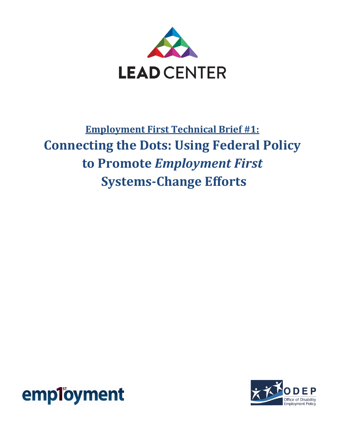

## **Employment First Technical Brief #1: Connecting the Dots: Using Federal Policy to Promote** *Employment First*  **Systems-Change Efforts**



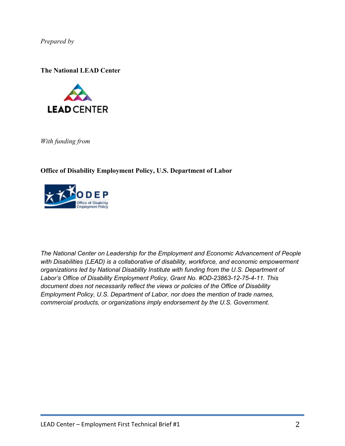*Prepared by* 

**The National LEAD Center**



*With funding from* 

**Office of Disability Employment Policy, U.S. Department of Labor** 



*The National Center on Leadership for the Employment and Economic Advancement of People with Disabilities (LEAD) is a collaborative of disability, workforce, and economic empowerment organizations led by National Disability Institute with funding from the U.S. Department of Labor's Office of Disability Employment Policy, Grant No. #OD-23863-12-75-4-11. This document does not necessarily reflect the views or policies of the Office of Disability Employment Policy, U.S. Department of Labor, nor does the mention of trade names, commercial products, or organizations imply endorsement by the U.S. Government.*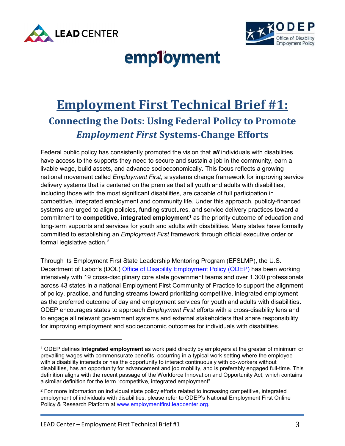



# employment

## **Employment First Technical Brief #1: Connecting the Dots: Using Federal Policy to Promote**  *Employment First* **Systems-Change Efforts**

Federal public policy has consistently promoted the vision that *all* individuals with disabilities have access to the supports they need to secure and sustain a job in the community, earn a livable wage, build assets, and advance socioeconomically. This focus reflects a growing national movement called *Employment First*, a systems change framework for improving service delivery systems that is centered on the premise that all youth and adults with disabilities, including those with the most significant disabilities, are capable of full participation in competitive, integrated employment and community life. Under this approach, publicly-financed systems are urged to align policies, funding structures, and service delivery practices toward a commitment to **competitive, integrated employment[1](#page-2-0)** as the priority outcome of education and long-term supports and services for youth and adults with disabilities. Many states have formally committed to establishing an *Employment First* framework through official executive order or formal legislative action. $2$ 

Through its Employment First State Leadership Mentoring Program (EFSLMP), the U.S. Department of Labor's (DOL) [Office of Disability Employment Policy \(ODEP\)](http://www.dol.gov/odep/topics/EmploymentFirst.htm) has been working intensively with 19 cross-disciplinary core state government teams and over 1,300 professionals across 43 states in a national Employment First Community of Practice to support the alignment of policy, practice, and funding streams toward prioritizing competitive, integrated employment as the preferred outcome of day and employment services for youth and adults with disabilities. ODEP encourages states to approach *Employment First* efforts with a cross-disability lens and to engage all relevant government systems and external stakeholders that share responsibility for improving employment and socioeconomic outcomes for individuals with disabilities.

l

<span id="page-2-0"></span><sup>1</sup> ODEP defines **integrated employment** as work paid directly by employers at the greater of minimum or prevailing wages with commensurate benefits, occurring in a typical work setting where the employee with a disability interacts or has the opportunity to interact continuously with co-workers without disabilities, has an opportunity for advancement and job mobility, and is preferably engaged full-time. This definition aligns with the recent passage of the Workforce Innovation and Opportunity Act, which contains a similar definition for the term "competitive, integrated employment".

<span id="page-2-1"></span><sup>2</sup> For more information on individual state policy efforts related to increasing competitive, integrated employment of individuals with disabilities, please refer to ODEP's National Employment First Online Policy & Research Platform at [www.employmentfirst.leadcenter.org.](http://www.employmentfirst.leadcenter.org/)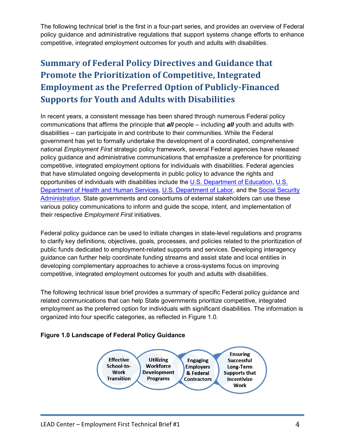The following technical brief is the first in a four-part series, and provides an overview of Federal policy guidance and administrative regulations that support systems change efforts to enhance competitive, integrated employment outcomes for youth and adults with disabilities.

## **Summary of Federal Policy Directives and Guidance that Promote the Prioritization of Competitive, Integrated Employment as the Preferred Option of Publicly-Financed Supports for Youth and Adults with Disabilities**

In recent years, a consistent message has been shared through numerous Federal policy communications that affirms the principle that *all* people – including *all* youth and adults with disabilities – can participate in and contribute to their communities. While the Federal government has yet to formally undertake the development of a coordinated, comprehensive national *Employment First* strategic policy framework, several Federal agencies have released policy guidance and administrative communications that emphasize a preference for prioritizing competitive, integrated employment options for individuals with disabilities. Federal agencies that have stimulated ongoing developments in public policy to advance the rights and opportunities of individuals with disabilities include the [U.S. Department of Education,](http://www.ed.gov/) U.S. [Department of Health and](http://www.hhs.gov/) Human Services, [U.S. Department of Labor,](http://www.dol.gov/) and the [Social Security](http://www.socialsecurity.gov/)  [Administration.](http://www.socialsecurity.gov/) State governments and consortiums of external stakeholders can use these various policy communications to inform and guide the scope, intent, and implementation of their respective *Employment First* initiatives.

Federal policy guidance can be used to initiate changes in state-level regulations and programs to clarify key definitions, objectives, goals, processes, and policies related to the prioritization of public funds dedicated to employment-related supports and services. Developing interagency guidance can further help coordinate funding streams and assist state and local entities in developing complementary approaches to achieve a cross-systems focus on improving competitive, integrated employment outcomes for youth and adults with disabilities.

The following technical issue brief provides a summary of specific Federal policy guidance and related communications that can help State governments prioritize competitive, integrated employment as the preferred option for individuals with significant disabilities. The information is organized into four specific categories, as reflected in Figure 1.0.

#### **Figure 1.0 Landscape of Federal Policy Guidance**

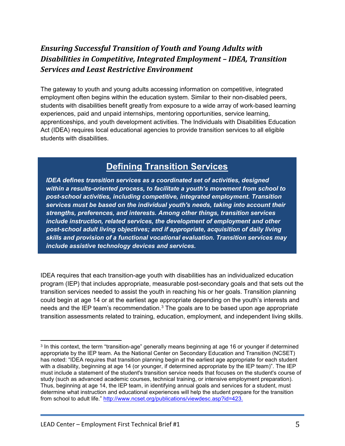## *Ensuring Successful Transition of Youth and Young Adults with Disabilities in Competitive, Integrated Employment – IDEA, Transition Services and Least Restrictive Environment*

The gateway to youth and young adults accessing information on competitive, integrated employment often begins within the education system. Similar to their non-disabled peers, students with disabilities benefit greatly from exposure to a wide array of work-based learning experiences, paid and unpaid internships, mentoring opportunities, service learning, apprenticeships, and youth development activities. The Individuals with Disabilities Education Act (IDEA) requires local educational agencies to provide transition services to all eligible students with disabilities.

## **Defining Transition Services**

*IDEA defines transition services as a coordinated set of activities, designed within a results-oriented process, to facilitate a youth's movement from school to post-school activities, including competitive, integrated employment. Transition services must be based on the individual youth's needs, taking into account their strengths, preferences, and interests. Among other things, transition services include instruction, related services, the development of employment and other post-school adult living objectives; and if appropriate, acquisition of daily living skills and provision of a functional vocational evaluation. Transition services may include assistive technology devices and services.* 

IDEA requires that each transition-age youth with disabilities has an individualized education program (IEP) that includes appropriate, measurable post-secondary goals and that sets out the transition services needed to assist the youth in reaching his or her goals. Transition planning could begin at age 14 or at the earliest age appropriate depending on the youth's interests and needs and the IEP team's recommendation.<sup>[3](#page-4-0)</sup> The goals are to be based upon age appropriate transition assessments related to training, education, employment, and independent living skills.

<span id="page-4-0"></span><sup>&</sup>lt;sup>3</sup> In this context, the term "transition-age" generally means beginning at age 16 or younger if determined appropriate by the IEP team. As the National Center on Secondary Education and Transition (NCSET) has noted: "IDEA requires that transition planning begin at the earliest age appropriate for each student with a disability, beginning at age 14 (or younger, if determined appropriate by the IEP team)". The IEP must include a statement of the student's transition service needs that focuses on the student's course of study (such as advanced academic courses, technical training, or intensive employment preparation). Thus, beginning at age 14, the IEP team, in identifying annual goals and services for a student, must determine what instruction and educational experiences will help the student prepare for the transition from school to adult life." [http://www.ncset.org/publications/viewdesc.asp?id=423.](http://www.ncset.org/publications/viewdesc.asp?id=423) l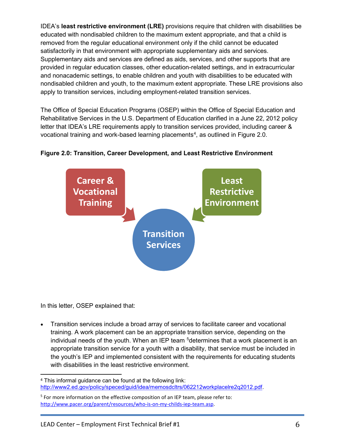IDEA's **least restrictive environment (LRE)** provisions require that children with disabilities be educated with nondisabled children to the maximum extent appropriate, and that a child is removed from the regular educational environment only if the child cannot be educated satisfactorily in that environment with appropriate supplementary aids and services. Supplementary aids and services are defined as aids, services, and other supports that are provided in regular education classes, other education-related settings, and in extracurricular and nonacademic settings, to enable children and youth with disabilities to be educated with nondisabled children and youth, to the maximum extent appropriate. These LRE provisions also apply to transition services, including employment-related transition services.

The Office of Special Education Programs (OSEP) within the Office of Special Education and Rehabilitative Services in the U.S. Department of Education clarified in a June 22, 2012 policy letter that IDEA's LRE requirements apply to transition services provided, including career & vocational training and work-based learning placements<sup>[4](#page-5-0)</sup>, as outlined in Figure 2.0.



#### **Figure 2.0: Transition, Career Development, and Least Restrictive Environment**

In this letter, OSEP explained that:

• Transition services include a broad array of services to facilitate career and vocational training. A work placement can be an appropriate transition service, depending on the individual needs of the youth. When an IEP team <sup>[5](#page-5-1)</sup>determines that a work placement is an appropriate transition service for a youth with a disability, that service must be included in the youth's IEP and implemented consistent with the requirements for educating students with disabilities in the least restrictive environment.

<span id="page-5-0"></span><sup>4</sup> This informal guidance can be found at the following link: [http://www2.ed.gov/policy/speced/guid/idea/memosdcltrs/062212workplacelre2q2012.pdf.](http://www2.ed.gov/policy/speced/guid/idea/memosdcltrs/062212workplacelre2q2012.pdf)  $\overline{\phantom{a}}$ 

<span id="page-5-1"></span><sup>&</sup>lt;sup>5</sup> For more information on the effective composition of an IEP team, please refer to: [http://www.pacer.org/parent/resources/who-is-on-my-childs-iep-team.asp.](http://www.pacer.org/parent/resources/who-is-on-my-childs-iep-team.asp)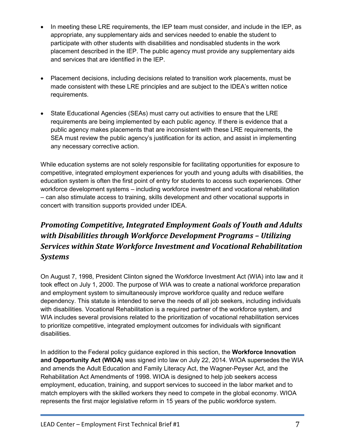- In meeting these LRE requirements, the IEP team must consider, and include in the IEP, as appropriate, any supplementary aids and services needed to enable the student to participate with other students with disabilities and nondisabled students in the work placement described in the IEP. The public agency must provide any supplementary aids and services that are identified in the IEP.
- Placement decisions, including decisions related to transition work placements, must be made consistent with these LRE principles and are subject to the IDEA's written notice requirements.
- State Educational Agencies (SEAs) must carry out activities to ensure that the LRE requirements are being implemented by each public agency. If there is evidence that a public agency makes placements that are inconsistent with these LRE requirements, the SEA must review the public agency's justification for its action, and assist in implementing any necessary corrective action.

While education systems are not solely responsible for facilitating opportunities for exposure to competitive, integrated employment experiences for youth and young adults with disabilities, the education system is often the first point of entry for students to access such experiences. Other workforce development systems – including workforce investment and vocational rehabilitation – can also stimulate access to training, skills development and other vocational supports in concert with transition supports provided under IDEA.

## *Promoting Competitive, Integrated Employment Goals of Youth and Adults with Disabilities through Workforce Development Programs – Utilizing Services within State Workforce Investment and Vocational Rehabilitation Systems*

On August 7, 1998, President Clinton signed the Workforce Investment Act (WIA) into law and it took effect on July 1, 2000. The purpose of WIA was to create a national workforce preparation and employment system to simultaneously improve workforce quality and reduce welfare dependency. This statute is intended to serve the needs of all job seekers, including individuals with disabilities. Vocational Rehabilitation is a required partner of the workforce system, and WIA includes several provisions related to the prioritization of vocational rehabilitation services to prioritize competitive, integrated employment outcomes for individuals with significant disabilities.

In addition to the Federal policy guidance explored in this section, the **Workforce Innovation and Opportunity Act (WIOA)** was signed into law on July 22, 2014. WIOA supersedes the WIA and amends the Adult Education and Family Literacy Act, the Wagner-Peyser Act, and the Rehabilitation Act Amendments of 1998. WIOA is designed to help job seekers access employment, education, training, and support services to succeed in the labor market and to match employers with the skilled workers they need to compete in the global economy. WIOA represents the first major legislative reform in 15 years of the public workforce system.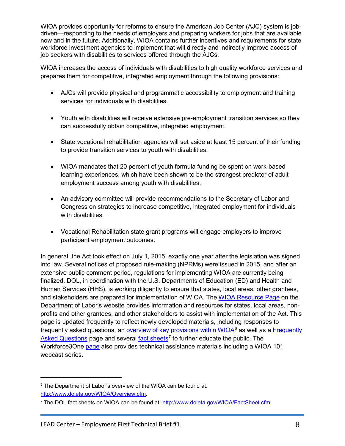WIOA provides opportunity for reforms to ensure the American Job Center (AJC) system is jobdriven—responding to the needs of employers and preparing workers for jobs that are available now and in the future. Additionally, WIOA contains further incentives and requirements for state workforce investment agencies to implement that will directly and indirectly improve access of job seekers with disabilities to services offered through the AJCs.

WIOA increases the access of individuals with disabilities to high quality workforce services and prepares them for competitive, integrated employment through the following provisions:

- AJCs will provide physical and programmatic accessibility to employment and training services for individuals with disabilities.
- Youth with disabilities will receive extensive pre-employment transition services so they can successfully obtain competitive, integrated employment.
- State vocational rehabilitation agencies will set aside at least 15 percent of their funding to provide transition services to youth with disabilities.
- WIOA mandates that 20 percent of youth formula funding be spent on work-based learning experiences, which have been shown to be the strongest predictor of adult employment success among youth with disabilities.
- An advisory committee will provide recommendations to the Secretary of Labor and Congress on strategies to increase competitive, integrated employment for individuals with disabilities.
- Vocational Rehabilitation state grant programs will engage employers to improve participant employment outcomes.

In general, the Act took effect on July 1, 2015, exactly one year after the legislation was signed into law. Several notices of proposed rule-making (NPRMs) were issued in 2015, and after an extensive public comment period, regulations for implementing WIOA are currently being finalized. DOL, in coordination with the U.S. Departments of Education (ED) and Health and Human Services (HHS), is working diligently to ensure that states, local areas, other grantees, and stakeholders are prepared for implementation of WIOA. The [WIOA Resource Page](http://www.doleta.gov/wioa/) on the Department of Labor's website provides information and resources for states, local areas, nonprofits and other grantees, and other stakeholders to assist with implementation of the Act. This page is updated frequently to reflect newly developed materials, including responses to frequently asked questions, an <u>overview of key provisions within WIOA</u>[6](#page-7-0) as well as a <u>Frequently</u> [Asked Questions](http://www.doleta.gov/WIOA/FAQs.cfm) page and several [fact sheets](http://www.doleta.gov/WIOA/FactSheet.cfm)<sup>[7](#page-7-1)</sup> to further educate the public. The Workforce3One [page](http://wioa.workforce3one.org/) also provides technical assistance materials including a WIOA 101 webcast series.

<span id="page-7-0"></span><sup>&</sup>lt;sup>6</sup> The Department of Labor's overview of the WIOA can be found at: [http://www.doleta.gov/WIOA/Overview.cfm](http://www.doleta.gov/wioa/pdf/WIOA-Overview.pdf).

<span id="page-7-1"></span><sup>7</sup> The DOL fact sheets on WIOA can be found at: [http://www.doleta.gov/WIOA/FactSheet.cfm.](http://www.doleta.gov/WIOA/FactSheet.cfm)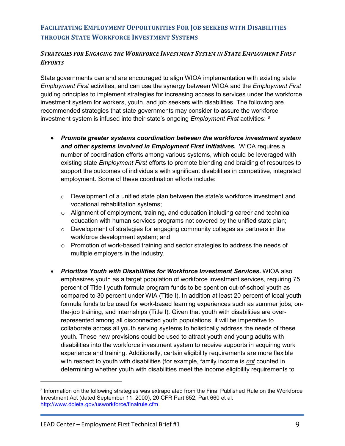#### **FACILITATING EMPLOYMENT OPPORTUNITIES FOR JOB SEEKERS WITH DISABILITIES THROUGH STATE WORKFORCE INVESTMENT SYSTEMS**

#### *STRATEGIES FOR ENGAGING THE WORKFORCE INVESTMENT SYSTEM IN STATE EMPLOYMENT FIRST EFFORTS*

State governments can and are encouraged to align WIOA implementation with existing state *Employment First* activities, and can use the synergy between WIOA and the *Employment First*  guiding principles to implement strategies for increasing access to services under the workforce investment system for workers, youth, and job seekers with disabilities. The following are recommended strategies that state governments may consider to assure the workforce investment system is infused into their state's ongoing *Employment First* activities: [8](#page-8-0)

- *Promote greater systems coordination between the workforce investment system and other systems involved in Employment First initiatives.* WIOA requires a number of coordination efforts among various systems, which could be leveraged with existing state *Employment First* efforts to promote blending and braiding of resources to support the outcomes of individuals with significant disabilities in competitive, integrated employment. Some of these coordination efforts include:
	- $\circ$  Development of a unified state plan between the state's workforce investment and vocational rehabilitation systems;
	- $\circ$  Alignment of employment, training, and education including career and technical education with human services programs not covered by the unified state plan;
	- o Development of strategies for engaging community colleges as partners in the workforce development system; and
	- $\circ$  Promotion of work-based training and sector strategies to address the needs of multiple employers in the industry.
- *Prioritize Youth with Disabilities for Workforce Investment Services.* WIOA also emphasizes youth as a target population of workforce investment services, requiring 75 percent of Title I youth formula program funds to be spent on out-of-school youth as compared to 30 percent under WIA (Title I). In addition at least 20 percent of local youth formula funds to be used for work-based learning experiences such as summer jobs, onthe-job training, and internships (Title I). Given that youth with disabilities are overrepresented among all disconnected youth populations, it will be imperative to collaborate across all youth serving systems to holistically address the needs of these youth. These new provisions could be used to attract youth and young adults with disabilities into the workforce investment system to receive supports in acquiring work experience and training. Additionally, certain eligibility requirements are more flexible with respect to youth with disabilities (for example, family income is *not* counted in determining whether youth with disabilities meet the income eligibility requirements to

l

<span id="page-8-0"></span><sup>8</sup> Information on the following strategies was extrapolated from the Final Published Rule on the Workforce Investment Act (dated September 11, 2000), 20 CFR Part 652; Part 660 et al. [http://www.doleta.gov/usworkforce/finalrule.cfm.](http://www.doleta.gov/usworkforce/finalrule.cfm)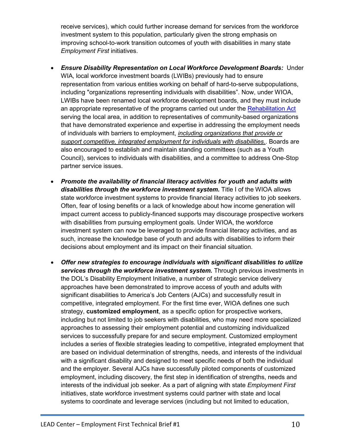receive services), which could further increase demand for services from the workforce investment system to this population, particularly given the strong emphasis on improving school-to-work transition outcomes of youth with disabilities in many state *Employment First* initiatives.

- *Ensure Disability Representation on Local Workforce Development Boards:* Under WIA, local workforce investment boards (LWIBs) previously had to ensure representation from various entities working on behalf of hard-to-serve subpopulations, including "organizations representing individuals with disabilities". Now, under WIOA, LWIBs have been renamed local workforce development boards, and they must include an appropriate representative of the programs carried out under the [Rehabilitation Act](http://www2.ed.gov/policy/speced/reg/narrative.html) serving the local area, in addition to representatives of community-based organizations that have demonstrated experience and expertise in addressing the employment needs of individuals with barriers to employment, *including organizations that provide or support competitive, integrated employment for individuals with disabilities.*. Boards are also encouraged to establish and maintain standing committees (such as a Youth Council), services to individuals with disabilities, and a committee to address One-Stop partner service issues.
- *Promote the availability of financial literacy activities for youth and adults with disabilities through the workforce investment system.* Title I of the WIOA allows state workforce investment systems to provide financial literacy activities to job seekers. Often, fear of losing benefits or a lack of knowledge about how income generation will impact current access to publicly-financed supports may discourage prospective workers with disabilities from pursuing employment goals. Under WIOA, the workforce investment system can now be leveraged to provide financial literacy activities, and as such, increase the knowledge base of youth and adults with disabilities to inform their decisions about employment and its impact on their financial situation.
- *Offer new strategies to encourage individuals with significant disabilities to utilize services through the workforce investment system.* Through previous investments in the DOL's Disability Employment Initiative, a number of strategic service delivery approaches have been demonstrated to improve access of youth and adults with significant disabilities to America's Job Centers (AJCs) and successfully result in competitive, integrated employment. For the first time ever, WIOA defines one such strategy, **customized employment**, as a specific option for prospective workers, including but not limited to job seekers with disabilities, who may need more specialized approaches to assessing their employment potential and customizing individualized services to successfully prepare for and secure employment. Customized employment includes a series of flexible strategies leading to competitive, integrated employment that are based on individual determination of strengths, needs, and interests of the individual with a significant disability and designed to meet specific needs of both the individual and the employer. Several AJCs have successfully piloted components of customized employment, including discovery, the first step in identification of strengths, needs and interests of the individual job seeker. As a part of aligning with state *Employment First*  initiatives, state workforce investment systems could partner with state and local systems to coordinate and leverage services (including but not limited to education,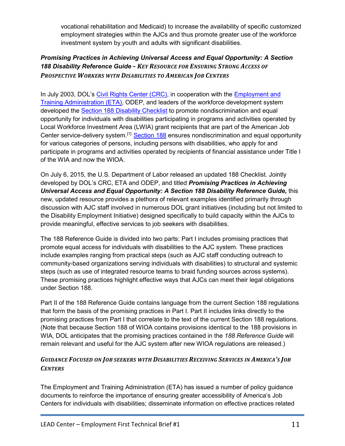vocational rehabilitation and Medicaid) to increase the availability of specific customized employment strategies within the AJCs and thus promote greater use of the workforce investment system by youth and adults with significant disabilities.

#### *Promising Practices in Achieving Universal Access and Equal Opportunity: A Section 188 Disability Reference Guide – KEY RESOURCE FOR ENSURING STRONG ACCESS OF PROSPECTIVE WORKERS WITH DISABILITIES TO AMERICAN JOB CENTERS*

In July 2003, DOL's [Civil Rights Center \(CRC\),](http://www.dol.gov/oasam/programs/crc/) in cooperation with the **Employment and** [Training Administration \(ETA\),](http://www.doleta.gov/wioa/) ODEP, and leaders of the workforce development system developed the **Section 188 Disability Checklist** to promote nondiscrimination and equal opportunity for individuals with disabilities participating in programs and activities operated by Local Workforce Investment Area (LWIA) grant recipients that are part of the American Job Center service-delivery system.[1] [Section 188](http://www.dol.gov/oasam/regs/statutes/sec188.htm) ensures nondiscrimination and equal opportunity for various categories of persons, including persons with disabilities, who apply for and participate in programs and activities operated by recipients of financial assistance under Title I of the WIA and now the WIOA.

On July 6, 2015, the U.S. Department of Labor released an updated 188 Checklist. Jointly developed by DOL's CRC, ETA and ODEP, and titled *Promising Practices in Achieving Universal Access and Equal Opportunity: A Section 188 Disability Reference Guide,* this new, updated resource provides a plethora of relevant examples identified primarily through discussion with AJC staff involved in numerous DOL grant initiatives (including but not limited to the Disability Employment Initiative) designed specifically to build capacity within the AJCs to provide meaningful, effective services to job seekers with disabilities.

The 188 Reference Guide is divided into two parts: Part I includes promising practices that promote equal access for individuals with disabilities to the AJC system. These practices include examples ranging from practical steps (such as AJC staff conducting outreach to community-based organizations serving individuals with disabilities) to structural and systemic steps (such as use of integrated resource teams to braid funding sources across systems). These promising practices highlight effective ways that AJCs can meet their legal obligations under Section 188.

Part II of the 188 Reference Guide contains language from the current Section 188 regulations that form the basis of the promising practices in Part I. Part II includes links directly to the promising practices from Part I that correlate to the text of the current Section 188 regulations. (Note that because Section 188 of WIOA contains provisions identical to the 188 provisions in WIA, DOL anticipates that the promising practices contained in the *188 Reference Guide* will remain relevant and useful for the AJC system after new WIOA regulations are released.)

#### *GUIDANCE FOCUSED ON JOB SEEKERS WITH DISABILITIES RECEIVING SERVICES IN AMERICA'S JOB CENTERS*

The Employment and Training Administration (ETA) has issued a number of policy guidance documents to reinforce the importance of ensuring greater accessibility of America's Job Centers for individuals with disabilities; disseminate information on effective practices related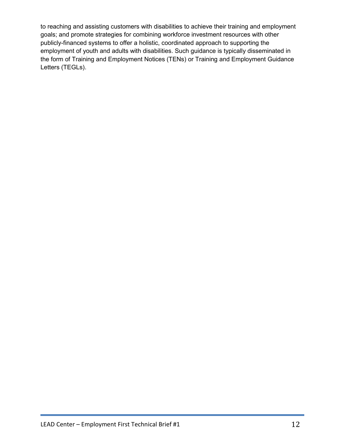to reaching and assisting customers with disabilities to achieve their training and employment goals; and promote strategies for combining workforce investment resources with other publicly-financed systems to offer a holistic, coordinated approach to supporting the employment of youth and adults with disabilities. Such guidance is typically disseminated in the form of Training and Employment Notices (TENs) or Training and Employment Guidance Letters (TEGLs).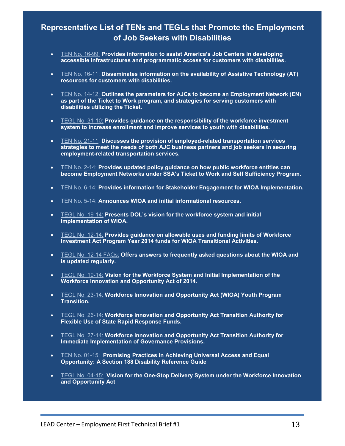## **Representative List of TENs and TEGLs that Promote the Employment of Job Seekers with Disabilities**

- [TEN No. 16-99:](http://www.doleta.gov/disability/pdf_docs/tein_16_99.pdf) **Provides information to assist America's Job Centers in developing accessible infrastructures and programmatic access for customers with disabilities.**
- [TEN No. 16-11:](http://wdr.doleta.gov/directives/corr_doc.cfm?DOCN=3096) **Disseminates information on the availability of Assistive Technology (AT) resources for customers with disabilities.**
- [TEN No. 14-12:](http://wdr.doleta.gov/directives/corr_doc.cfm?DOCN=4512) **Outlines the parameters for AJCs to become an Employment Network (EN) as part of the Ticket to Work program, and strategies for serving customers with disabilities utilizing the Ticket.**
- [TEGL No. 31-10:](http://www.doleta.gov/disability/pdf_docs/TEN31-10.pdf) **Provides guidance on the responsibility of the workforce investment system to increase enrollment and improve services to youth with disabilities.**
- [TEN No. 21-11:](http://www.doleta.gov/disability/pdf_docs/TEN21-11EmployedRelatedTransportationServices.pdf) **Discusses the provision of employed-related transportation services strategies to meet the needs of both AJC business partners and job seekers in securing employment-related transportation services.**
- [TEN No. 2-14:](http://wdr.doleta.gov/directives/corr_doc.cfm?DOCN=8525) **Provides updated policy guidance on how public workforce entities can become Employment Networks under SSA's Ticket to Work and Self Sufficiency Program.**
- [TEN No. 6-14:](http://wdr.doleta.gov/directives/corr_doc.cfm?DOCN=8186) **Provides information for Stakeholder Engagement for WIOA Implementation.**
- [TEN No. 5-14:](http://wdr.doleta.gov/directives/corr_doc.cfm?DOCN=3556) **Announces WIOA and initial informational resources.**
- TEGL [No. 19-14:](http://wdr.doleta.gov/directives/corr_doc.cfm?DOCN=7353) **Presents DOL's vision for the workforce system and initial implementation of WIOA.**
- TEGL [No. 12-14:](http://wdr.doleta.gov/directives/corr_doc.cfm?DOCN=3475) **Provides guidance on allowable uses and funding limits of Workforce Investment Act Program Year 2014 funds for WIOA Transitional Activities.**
- TEGL No. [12-14 FAQs:](http://www.doleta.gov/wioa/Docs/TEGL_1214_FAQ.pdf) **Offers answers to frequently asked questions about the WIOA and is updated regularly.**
- TEGL No. [19-14:](http://wdr.doleta.gov/directives/corr_doc.cfm?DOCN=7353) **Vision for the Workforce System and Initial Implementation of the Workforce Innovation and Opportunity Act of 2014.**
- TEGL No. [23-14:](http://wdr.doleta.gov/directives/corr_doc.cfm?DOCN=4244) **Workforce Innovation and Opportunity Act (WIOA) Youth Program Transition.**
- TEGL No. [26-14:](http://wdr.doleta.gov/directives/corr_doc.cfm?DOCN=5569) **Workforce Innovation and Opportunity Act Transition Authority for Flexible Use of State Rapid Response Funds.**
- TEGL [No. 27-14:](http://wdr.doleta.gov/directives/corr_doc.cfm?docn=7158) **Workforce Innovation and Opportunity Act Transition Authority for Immediate Implementation of Governance Provisions.**
- [TEN No. 01-15:](http://wdr.doleta.gov/directives/corr_doc.cfm?DOCN=3182) **Promising Practices in Achieving Universal Access and Equal Opportunity: A Section 188 Disability Reference Guide**
- [TEGL No. 04-15:](http://wdr.doleta.gov/directives/corr_doc.cfm?DOCN=6455) **Vision for the One-Stop Delivery System under the Workforce Innovation and Opportunity Act**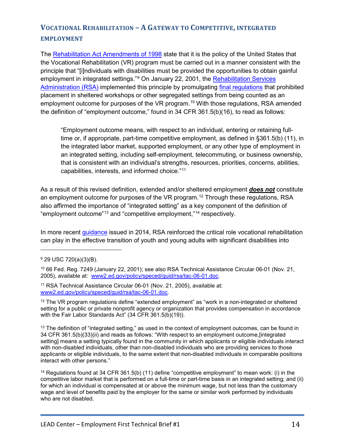## **VOCATIONAL REHABILITATION – A GATEWAY TO COMPETITIVE, INTEGRATED EMPLOYMENT**

The [Rehabilitation Act Amendments of 1998](http://www2.ed.gov/policy/speced/reg/narrative.html) state that it is the policy of the United States that the Vocational Rehabilitation (VR) program must be carried out in a manner consistent with the principle that "[i]ndividuals with disabilities must be provided the opportunities to obtain gainful employment in integrated settings."<sup>[9](#page-13-0)</sup> On January 22, 2001, the Rehabilitation Services [Administration \(RSA\)](http://www2.ed.gov/about/offices/list/osers/rsa/index.html) implemented this principle by promulgating [final regulations](http://www2.ed.gov/policy/speced/guid/rsa/tac-06-01.doc) that prohibited placement in sheltered workshops or other segregated settings from being counted as an employment outcome for purposes of the VR program.<sup>[10](#page-13-1)</sup> With those regulations, RSA amended the definition of "employment outcome," found in 34 CFR 361.5(b)(16), to read as follows:

"Employment outcome means, with respect to an individual, entering or retaining fulltime or, if appropriate, part-time competitive employment, as defined in §361.5(b) (11), in the integrated labor market, supported employment, or any other type of employment in an integrated setting, including self-employment, telecommuting, or business ownership, that is consistent with an individual's strengths, resources, priorities, concerns, abilities, capabilities, interests, and informed choice."[11](#page-13-2)

As a result of this revised definition, extended and/or sheltered employment *does not* constitute an employment outcome for purposes of the VR program.<sup>[12](#page-13-3)</sup> Through these regulations, RSA also affirmed the importance of "integrated setting" as a key component of the definition of "employment outcome"[13](#page-13-4) and "competitive employment,"[14](#page-13-5) respectively.

In more recent [guidance](https://www2.ed.gov/policy/speced/guid/rsa/tac/2014/tac-14-03.pdf) issued in 2014, RSA reinforced the critical role vocational rehabilitation can play in the effective transition of youth and young adults with significant disabilities into

l

<span id="page-13-3"></span><sup>12</sup> The VR program regulations define "extended employment" as "work in a non-integrated or sheltered setting for a public or private nonprofit agency or organization that provides compensation in accordance with the Fair Labor Standards Act" (34 CFR 361.5(b)(19)).

<span id="page-13-4"></span><sup>13</sup> The definition of "integrated setting," as used in the context of employment outcomes, can be found in 34 CFR 361.5(b)(33)(ii) and reads as follows: "With respect to an employment outcome,[integrated setting] means a setting typically found in the community in which applicants or eligible individuals interact with non-disabled individuals, other than non-disabled individuals who are providing services to those applicants or eligible individuals, to the same extent that non-disabled individuals in comparable positions interact with other persons."

<span id="page-13-5"></span><sup>14</sup> Regulations found at 34 CFR 361.5(b) (11) define "competitive employment" to mean work: (i) in the competitive labor market that is performed on a full-time or part-time basis in an integrated setting; and (ii) for which an individual is compensated at or above the minimum wage, but not less than the customary wage and level of benefits paid by the employer for the same or similar work performed by individuals who are not disabled.

<span id="page-13-0"></span><sup>9</sup> 29 USC 720(a)(3)(B).

<span id="page-13-1"></span><sup>10</sup> 66 Fed. Reg. 7249 (January 22, 2001); see also RSA Technical Assistance Circular 06-01 (Nov. 21, 2005), available at: [www2.ed.gov/policy/speced/guid/rsa/tac-06-01.d](http://www2.ed.gov/policy/speced/guid/rsa/tac-06-01.doc)oc.

<span id="page-13-2"></span><sup>11</sup> RSA Technical Assistance Circular 06-01 (Nov. 21, 2005), available at: [www2.ed.gov/policy/speced/guid/rsa/tac-06-01.](http://www2.ed.gov/policy/speced/guid/rsa/tac-06-01.doc)doc.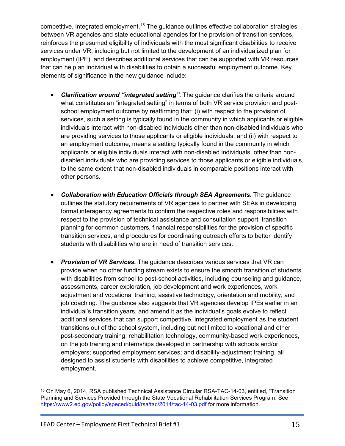competitive, integrated employment.<sup>[15](#page-14-0)</sup> The guidance outlines effective collaboration strategies between VR agencies and state educational agencies for the provision of transition services, reinforces the presumed eligibility of individuals with the most significant disabilities to receive services under VR, including but not limited to the development of an individualized plan for employment (IPE), and describes additional services that can be supported with VR resources that can help an individual with disabilities to obtain a successful employment outcome. Key elements of significance in the new guidance include:

- *Clarification around "integrated setting".* The guidance clarifies the criteria around what constitutes an "integrated setting" in terms of both VR service provision and postschool employment outcome by reaffirming that: (i) with respect to the provision of services, such a setting is typically found in the community in which applicants or eligible individuals interact with non-disabled individuals other than non-disabled individuals who are providing services to those applicants or eligible individuals; and (ii) with respect to an employment outcome, means a setting typically found in the community in which applicants or eligible individuals interact with non-disabled individuals, other than nondisabled individuals who are providing services to those applicants or eligible individuals, to the same extent that non-disabled individuals in comparable positions interact with other persons.
- *Collaboration with Education Officials through SEA Agreements.* The guidance outlines the statutory requirements of VR agencies to partner with SEAs in developing formal interagency agreements to confirm the respective roles and responsibilities with respect to the provision of technical assistance and consultation support, transition planning for common customers, financial responsibilities for the provision of specific transition services, and procedures for coordinating outreach efforts to better identify students with disabilities who are in need of transition services.
- *Provision of VR Services.* The guidance describes various services that VR can provide when no other funding stream exists to ensure the smooth transition of students with disabilities from school to post-school activities, including counseling and guidance, assessments, career exploration, job development and work experiences, work adjustment and vocational training, assistive technology, orientation and mobility, and job coaching. The guidance also suggests that VR agencies develop IPEs earlier in an individual's transition years, and amend it as the individual's goals evolve to reflect additional services that can support competitive, integrated employment as the student transitions out of the school system, including but not limited to vocational and other post-secondary training; rehabilitation technology, community-based work experiences, on the job training and internships developed in partnership with schools and/or employers; supported employment services; and disability-adjustment training, all designed to assist students with disabilities to achieve competitive, integrated employment.

<span id="page-14-0"></span><sup>15</sup> On May 6, 2014, RSA published Technical Assistance Circular RSA-TAC-14-03, entitled, "Transition Planning and Services Provided through the State Vocational Rehabilitation Services Program. See <https://www2.ed.gov/policy/speced/guid/rsa/tac/2014/tac-14-03.pdf> for more information. l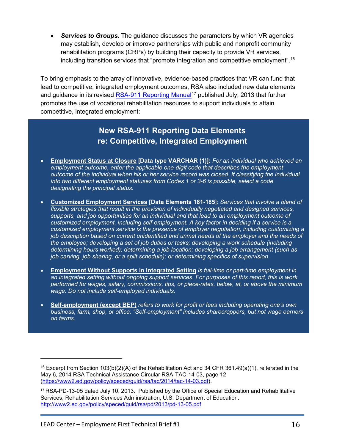• *Services to Groups.* The guidance discusses the parameters by which VR agencies may establish, develop or improve partnerships with public and nonprofit community rehabilitation programs (CRPs) by building their capacity to provide VR services, including transition services that "promote integration and competitive employment".[16](#page-15-0)

To bring emphasis to the array of innovative, evidence-based practices that VR can fund that lead to competitive, integrated employment outcomes, RSA also included new data elements and guidance in its revised <u>RSA-911 Reporting Manual</u><sup>[17](#page-15-1)</sup> published July, 2013 that further promotes the use of vocational rehabilitation resources to support individuals to attain competitive, integrated employment:

## **New RSA-911 Reporting Data Elements re: Competitive, Integrated** E**mployment**

- **Employment Status at Closure [Data type VARCHAR (1)]:** *For an individual who achieved an employment outcome, enter the applicable one-digit code that describes the employment outcome of the individual when his or her service record was closed. If classifying the individual into two different employment statuses from Codes 1 or 3-6 is possible, select a code designating the principal status.*
- **Customized Employment Services [Data Elements 181-185**]: *Services that involve a blend of flexible strategies that result in the provision of individually negotiated and designed services, supports, and job opportunities for an individual and that lead to an employment outcome of customized employment, including self-employment. A key factor in deciding if a service is a customized employment service is the presence of employer negotiation, including customizing a job description based on current unidentified and unmet needs of the employer and the needs of the employee; developing a set of job duties or tasks; developing a work schedule (including determining hours worked); determining a job location; developing a job arrangement (such as job carving, job sharing, or a split schedule); or determining specifics of supervision.*
- **Employment Without Supports in Integrated Setting** *is full-time or part-time employment in an integrated setting without ongoing support services. For purposes of this report, this is work performed for wages, salary, commissions, tips, or piece-rates, below, at, or above the minimum wage. Do not include self-employed individuals.*
- **Self-employment (except BEP)** *refers to work for profit or fees including operating one's own business, farm, shop, or office. "Self-employment" includes sharecroppers, but not wage earners on farms.*

<span id="page-15-0"></span><sup>&</sup>lt;sup>16</sup> Excerpt from Section 103(b)(2)(A) of the Rehabilitation Act and 34 CFR 361.49(a)(1), reiterated in the May 6, 2014 RSA Technical Assistance Circular RSA-TAC-14-03, page 12 [\(https://www2.ed.gov/policy/speced/guid/rsa/tac/2014/tac-14-03.pdf\)](https://www2.ed.gov/policy/speced/guid/rsa/tac/2014/tac-14-03.pdf).

<span id="page-15-1"></span> <http://www2.ed.gov/policy/speced/guid/rsa/pd/2013/pd-13-05.pdf><sup>17</sup> RSA-PD-13-05 dated July 10, 2013. Published by the Office of Special Education and Rehabilitative Services, Rehabilitation Services Administration, U.S. Department of Education.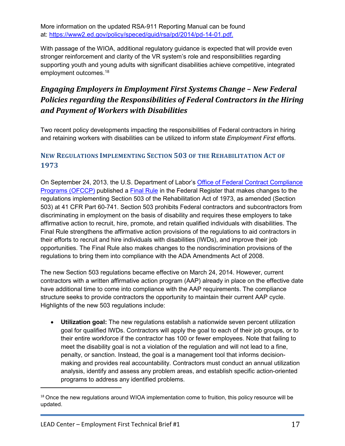More information on the updated RSA-911 Reporting Manual can be found at: [https://www2.ed.gov/policy/speced/guid/rsa/pd/201](https://www2.ed.gov/policy/speced/guid/rsa/pd/2014/pd-14-01.pdf)4/pd-14-01.pdf.

With passage of the WIOA, additional regulatory guidance is expected that will provide even stronger reinforcement and clarity of the VR system's role and responsibilities regarding supporting youth and young adults with significant disabilities achieve competitive, integrated employment outcomes.<sup>18</sup>

## *Engaging Employers in Employment First Systems Change – New Federal Policies regarding the Responsibilities of Federal Contractors in the Hiring and Payment of Workers with Disabilities*

Two recent policy developments impacting the responsibilities of Federal contractors in hiring and retaining workers with disabilities can be utilized to inform state *Employment First* efforts.

### **NEW REGULATIONS IMPLEMENTING SECTION 503 OF THE REHABILITATION ACT OF 1973**

On September 24, 2013, the U.S. Department of Labor's [Office of Federal Contract Compliance](http://www.dol.gov/ofccp/)  [Programs \(OFCCP\)](http://www.dol.gov/ofccp/) published a [Final Rule](http://www.dol.gov/ofccp/regs/compliance/section503.htm) in the Federal Register that makes changes to the regulations implementing Section 503 of the Rehabilitation Act of 1973, as amended (Section 503) at 41 CFR Part 60-741. Section 503 prohibits Federal contractors and subcontractors from discriminating in employment on the basis of disability and requires these employers to take affirmative action to recruit, hire, promote, and retain qualified individuals with disabilities. The Final Rule strengthens the affirmative action provisions of the regulations to aid contractors in their efforts to recruit and hire individuals with disabilities (IWDs), and improve their job opportunities. The Final Rule also makes changes to the nondiscrimination provisions of the regulations to bring them into compliance with the ADA Amendments Act of 2008.

The new Section 503 regulations became effective on March 24, 2014. However, current contractors with a written affirmative action program (AAP) already in place on the effective date have additional time to come into compliance with the AAP requirements. The compliance structure seeks to provide contractors the opportunity to maintain their current AAP cycle. Highlights of the new 503 regulations include:

• **Utilization goal:** The new regulations establish a nationwide seven percent utilization goal for qualified IWDs. Contractors will apply the goal to each of their job groups, or to their entire workforce if the contractor has 100 or fewer employees. Note that failing to meet the disability goal is not a violation of the regulation and will not lead to a fine, penalty, or sanction. Instead, the goal is a management tool that informs decisionmaking and provides real accountability. Contractors must conduct an annual utilization analysis, identify and assess any problem areas, and establish specific action-oriented programs to address any identified problems.

<span id="page-16-0"></span> $18$  Once the new regulations around WIOA implementation come to fruition, this policy resource will be updated.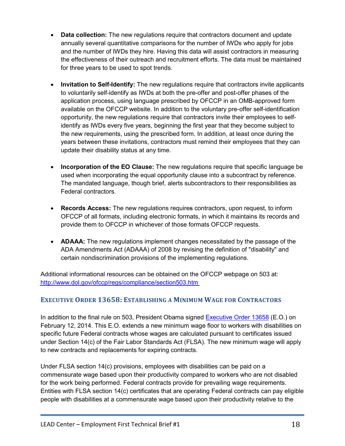- **Data collection:** The new regulations require that contractors document and update annually several quantitative comparisons for the number of IWDs who apply for jobs and the number of IWDs they hire. Having this data will assist contractors in measuring the effectiveness of their outreach and recruitment efforts. The data must be maintained for three years to be used to spot trends.
- **Invitation to Self-Identify:** The new regulations require that contractors invite applicants to voluntarily self-identify as IWDs at both the pre-offer and post-offer phases of the application process, using language prescribed by OFCCP in an OMB-approved form available on the OFCCP website. In addition to the voluntary pre-offer self-identification opportunity, the new regulations require that contractors invite their employees to selfidentify as IWDs every five years, beginning the first year that they become subject to the new requirements, using the prescribed form. In addition, at least once during the years between these invitations, contractors must remind their employees that they can update their disability status at any time.
- **Incorporation of the EO Clause:** The new regulations require that specific language be used when incorporating the equal opportunity clause into a subcontract by reference. The mandated language, though brief, alerts subcontractors to their responsibilities as Federal contractors.
- **Records Access:** The new regulations requires contractors, upon request, to inform OFCCP of all formats, including electronic formats, in which it maintains its records and provide them to OFCCP in whichever of those formats OFCCP requests.
- **ADAAA:** The new regulations implement changes necessitated by the passage of the ADA Amendments Act (ADAAA) of 2008 by revising the definition of "disability" and certain nondiscrimination provisions of the implementing regulations.

. <http://www.dol.gov/ofccp/regs/compliance/section503.htm> Additional informational resources can be obtained on the OFCCP webpage on 503 at:

#### **EXECUTIVE ORDER 13658: ESTABLISHING A MINIMUM WAGE FOR CONTRACTORS**

In addition to the final rule on 503, President Obama signed [Executive Order 13658](http://www.whitehouse.gov/the-press-office/2014/02/12/executive-order-minimum-wage-contractors) (E.O.) on February 12, 2014. This E.O. extends a new minimum wage floor to workers with disabilities on specific future Federal contracts whose wages are calculated pursuant to certificates issued under Section 14(c) of the Fair Labor Standards Act (FLSA). The new minimum wage will apply to new contracts and replacements for expiring contracts.

Under FLSA section 14(c) provisions, employees with disabilities can be paid on a commensurate wage based upon their productivity compared to workers who are not disabled for the work being performed. Federal contracts provide for prevailing wage requirements. Entities with FLSA section 14(c) certificates that are operating Federal contracts can pay eligible people with disabilities at a commensurate wage based upon their productivity relative to the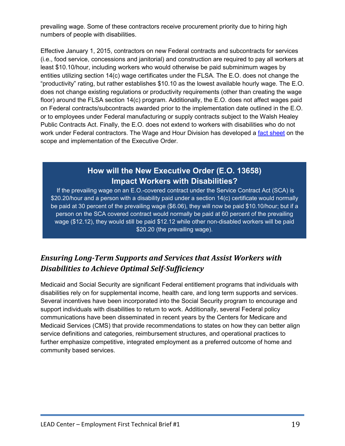prevailing wage. Some of these contractors receive procurement priority due to hiring high numbers of people with disabilities.

Effective January 1, 2015, contractors on new Federal contracts and subcontracts for services (i.e., food service, concessions and janitorial) and construction are required to pay all workers at least \$10.10/hour, including workers who would otherwise be paid subminimum wages by entities utilizing section 14(c) wage certificates under the FLSA. The E.O. does not change the "productivity" rating, but rather establishes \$10.10 as the lowest available hourly wage. The E.O. does not change existing regulations or productivity requirements (other than creating the wage floor) around the FLSA section 14(c) program. Additionally, the E.O. does not affect wages paid on Federal contracts/subcontracts awarded prior to the implementation date outlined in the E.O. or to employees under Federal manufacturing or supply contracts subject to the Walsh Healey Public Contracts Act. Finally, the E.O. does not extend to workers with disabilities who do not work under Federal contractors. The Wage and Hour Division has developed a [fact sheet](http://www.dol.gov/whd/flsa/nprm-eo13658/factsheet.htm) on the scope and implementation of the Executive Order.

## **How will the New Executive Order (E.O. 13658) Impact Workers with Disabilities?**

If the prevailing wage on an E.O.-covered contract under the Service Contract Act (SCA) is \$20.20/hour and a person with a disability paid under a section 14(c) certificate would normally be paid at 30 percent of the prevailing wage (\$6.06), they will now be paid \$10.10/hour; but if a person on the SCA covered contract would normally be paid at 60 percent of the prevailing wage (\$12.12), they would still be paid \$12.12 while other non-disabled workers will be paid \$20.20 (the prevailing wage).

## *Ensuring Long-Term Supports and Services that Assist Workers with Disabilities to Achieve Optimal Self-Sufficiency*

Medicaid and Social Security are significant Federal entitlement programs that individuals with disabilities rely on for supplemental income, health care, and long term supports and services. Several incentives have been incorporated into the Social Security program to encourage and support individuals with disabilities to return to work. Additionally, several Federal policy communications have been disseminated in recent years by the Centers for Medicare and Medicaid Services (CMS) that provide recommendations to states on how they can better align service definitions and categories, reimbursement structures, and operational practices to further emphasize competitive, integrated employment as a preferred outcome of home and community based services.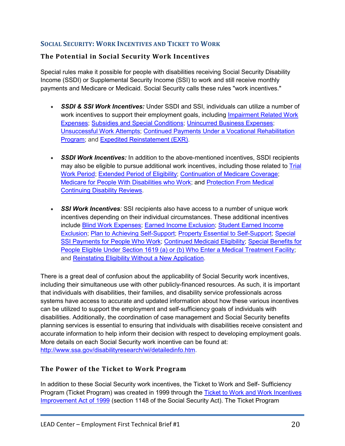#### **SOCIAL SECURITY: WORK INCENTIVES AND TICKET TO WORK**

#### **The Potential in Social Security Work Incentives**

Special rules make it possible for people with disabilities receiving Social Security Disability Income (SSDI) or Supplemental Security Income (SSI) to work and still receive monthly payments and Medicare or Medicaid. Social Security calls these rules "work incentives."

- *SSDI & SSI Work Incentives:* Under SSDI and SSI, individuals can utilize a number of work incentives to support their employment goals, including [Impairment Related Work](http://www.ssa.gov/disabilityresearch/wi/detailedinfo.htm#IRWE)  [Expenses;](http://www.ssa.gov/disabilityresearch/wi/detailedinfo.htm#IRWE) [Subsidies and Special Conditions;](http://www.ssa.gov/disabilityresearch/wi/detailedinfo.htm#SASC) [Unincurred Business Expenses;](http://www.ssa.gov/disabilityresearch/wi/detailedinfo.htm#3UBE) [Unsuccessful Work Attempts;](http://www.ssa.gov/disabilityresearch/wi/detailedinfo.htm#UWA) [Continued Payments Under a Vocational](http://www.ssa.gov/disabilityresearch/wi/detailedinfo.htm#CPUVRB) Rehabilitation [Program;](http://www.ssa.gov/disabilityresearch/wi/detailedinfo.htm#CPUVRB) and [Expedited Reinstatement \(EXR\).](http://www.ssa.gov/disabilityresearch/wi/exr.htm)
- **SSDI Work Incentives:** In addition to the above-mentioned incentives, SSDI recipients may also be eligible to pursue additional work incentives, including those related to [Trial](http://www.ssa.gov/disabilityresearch/wi/detailedinfo.htm#TWP)  [Work Period;](http://www.ssa.gov/disabilityresearch/wi/detailedinfo.htm#TWP) [Extended Period of Eligibility;](http://www.ssa.gov/disabilityresearch/wi/detailedinfo.htm#EPE) [Continuation of Medicare Coverage;](http://www.ssa.gov/redbook/eng/ssdi-only-employment-supports.htm4) [Medicare for People With Disabilities who Work;](http://www.ssa.gov/redbook/eng/ssdi-only-employment-supports.htm#5) and [Protection From Medical](http://www.ssa.gov/disabilityresearch/wi/cdrprotection.htm)  [Continuing Disability Reviews.](http://www.ssa.gov/disabilityresearch/wi/cdrprotection.htm)
- *SSI Work Incentives:* SSI recipients also have access to a number of unique work incentives depending on their individual circumstances. These additional incentives include [Blind Work Expenses;](http://www.ssa.gov/disabilityresearch/wi/detailedinfo.htm#BWE) [Earned Income Exclusion;](http://www.ssa.gov/redbook/eng/ssi-only-employment-supports.htm#1) [Student Earned Income](http://www.ssa.gov/redbook/eng/ssi-only-employment-supports.htm#2=&a0=2)  [Exclusion;](http://www.ssa.gov/redbook/eng/ssi-only-employment-supports.htm#2=&a0=2) [Plan to Achieving Self-Support;](http://www.ssa.gov/disabilityresearch/wi/pass.htm) [Property Essential to Self-Support;](http://www.ssa.gov/disabilityresearch/wi/detailedinfo.htm#PESS) [Special](http://www.ssa.gov/disabilityresearch/wi/detailedinfo.htm#SSPPWW)  [SSI Payments for People Who Work;](http://www.ssa.gov/disabilityresearch/wi/detailedinfo.htm#SSPPWW) [Continued Medicaid Eligibility;](http://www.ssa.gov/disabilityresearch/wi/1619b.htm) [Special Benefits for](http://www.ssa.gov/disabilityresearch/wi/detailedinfo.htm#Special)  [People Eligible Under Section 1619 \(a\) or \(b\) Who Enter a Medical Treatment Facility;](http://www.ssa.gov/disabilityresearch/wi/detailedinfo.htm#Special) and [Reinstating Eligibility Without a New Application.](https://www.disability.gov/resource/reinstating-ssi-eligibility-without-a-new-application/)

There is a great deal of confusion about the applicability of Social Security work incentives, including their simultaneous use with other publicly-financed resources. As such, it is important that individuals with disabilities, their families, and disability service professionals across systems have access to accurate and updated information about how these various incentives can be utilized to support the employment and self-sufficiency goals of individuals with disabilities. Additionally, the coordination of case management and Social Security benefits planning services is essential to ensuring that individuals with disabilities receive consistent and accurate information to help inform their decision with respect to developing employment goals. More details on each Social Security work incentive can be found at: [http://www.ssa.gov/disabilityresearch/wi/detailedinfo.htm.](http://www.ssa.gov/disabilityresearch/wi/detailedinfo.htm)

#### **The Power of the Ticket to Work Program**

In addition to these Social Security work incentives, the Ticket to Work and Self- Sufficiency Program (Ticket Program) was created in 1999 through the [Ticket to Work and Work Incentives](http://www.gpo.gov/fdsys/pkg/PLAW-106publ170/html/PLAW-106publ170.htm)  [Improvement Act of 1999](http://www.gpo.gov/fdsys/pkg/PLAW-106publ170/html/PLAW-106publ170.htm) (section 1148 of the Social Security Act). The Ticket Program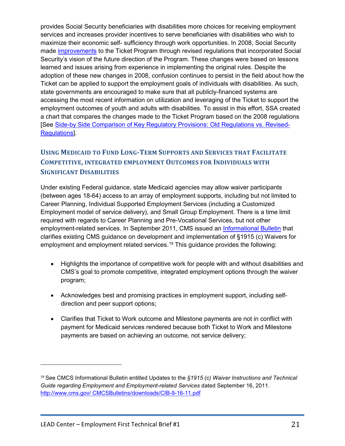provides Social Security beneficiaries with disabilities more choices for receiving employment services and increases provider incentives to serve beneficiaries with disabilities who wish to maximize their economic self- sufficiency through work opportunities. In 2008, Social Security made [improvements](http://www.socialsecurity.gov/work/documents/TTW_REG.doc) to the Ticket Program through revised regulations that incorporated Social Security's vision of the future direction of the Program. These changes were based on lessons learned and issues arising from experience in implementing the original rules. Despite the adoption of these new changes in 2008, confusion continues to persist in the field about how the Ticket can be applied to support the employment goals of individuals with disabilities. As such, state governments are encouraged to make sure that all publicly-financed systems are accessing the most recent information on utilization and leveraging of the Ticket to support the employment outcomes of youth and adults with disabilities. To assist in this effort, SSA created a chart that compares the changes made to the Ticket Program based on the 2008 regulations [See [Side-by Side Comparison of Key Regulatory Provisions: Old Regulations vs. Revised-](http://www.socialsecurity.gov/work/documents/Chart_of_Key_Changes_to_Ticket_to_Work_Regulations.pdf)[Regulations\].](http://www.socialsecurity.gov/work/documents/Chart_of_Key_Changes_to_Ticket_to_Work_Regulations.pdf)

### **USING MEDICAID TO FUND LONG-TERM SUPPORTS AND SERVICES THAT FACILITATE COMPETITIVE, INTEGRATED EMPLOYMENT OUTCOMES FOR INDIVIDUALS WITH SIGNIFICANT DISABILITIES**

Under existing Federal guidance, state Medicaid agencies may allow waiver participants (between ages 18-64) access to an array of employment supports, including but not limited to Career Planning, Individual Supported Employment Services (including a Customized Employment model of service delivery), and Small Group Employment. There is a time limit required with regards to Career Planning and Pre-Vocational Services, but not other employment-related services. In September 2011, CMS issued an *Informational Bulletin* that clarifies existing CMS guidance on development and implementation of §1915 (c) Waivers for employment and employment related services.<sup>[19](#page-20-0)</sup> This guidance provides the following:

- Highlights the importance of competitive work for people with and without disabilities and CMS's goal to promote competitive, integrated employment options through the waiver program;
- Acknowledges best and promising practices in employment support, including selfdirection and peer support options;
- Clarifies that Ticket to Work outcome and Milestone payments are not in conflict with payment for Medicaid services rendered because both Ticket to Work and Milestone payments are based on achieving an outcome, not service delivery;

 $\overline{a}$ 

<span id="page-20-0"></span><sup>19</sup> See CMCS Informational Bulletin entitled Updates to the *§1915 (c) Waiver Instructions and Technical Guide regarding Employment and Employment-related Services* dated September 16, 2011. [http://www.cms.gov/ CMCSBulletins/downloads/CIB-9-16-11.pdf](http://www.cms.gov/CMCSBulletins/downloads/CIB-9-16-11.pdf)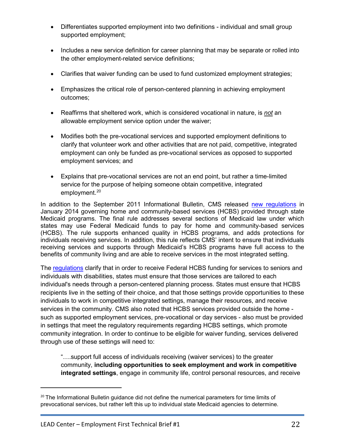- Differentiates supported employment into two definitions individual and small group supported employment;
- Includes a new service definition for career planning that may be separate or rolled into the other employment-related service definitions;
- Clarifies that waiver funding can be used to fund customized employment strategies;
- Emphasizes the critical role of person-centered planning in achieving employment outcomes;
- Reaffirms that sheltered work, which is considered vocational in nature, is *not* an allowable employment service option under the waiver;
- Modifies both the pre-vocational services and supported employment definitions to clarify that volunteer work and other activities that are not paid, competitive, integrated employment can only be funded as pre-vocational services as opposed to supported employment services; and
- Explains that pre-vocational services are not an end point, but rather a time-limited service for the purpose of helping someone obtain competitive, integrated employment. [20](#page-21-0)

In addition to the September 2011 Informational Bulletin, CMS released [new regulations](https://www.federalregister.gov/articles/2014/01/16/2014-00487/medicaid-program-state-plan-home-and-community-based-services-5-year-period-for-waivers-provider) in January 2014 governing home and community-based services (HCBS) provided through state Medicaid programs. The final rule addresses several sections of Medicaid law under which states may use Federal Medicaid funds to pay for home and community-based services (HCBS). The rule supports enhanced quality in HCBS programs, and adds protections for individuals receiving services. In addition, this rule reflects CMS' intent to ensure that individuals receiving services and supports through Medicaid's HCBS programs have full access to the benefits of community living and are able to receive services in the most integrated setting.

The [regulations](https://www.federalregister.gov/articles/2014/01/16/2014-00487/medicaid-program-state-plan-home-and-community-based-services-5-year-period-for-waivers-provider) clarify that in order to receive Federal HCBS funding for services to seniors and individuals with disabilities, states must ensure that those services are tailored to each individual's needs through a person-centered planning process. States must ensure that HCBS recipients live in the setting of their choice, and that those settings provide opportunities to these individuals to work in competitive integrated settings, manage their resources, and receive services in the community. CMS also noted that HCBS services provided outside the home such as supported employment services, pre-vocational or day services - also must be provided in settings that meet the regulatory requirements regarding HCBS settings, which promote community integration. In order to continue to be eligible for waiver funding, services delivered through use of these settings will need to:

"….support full access of individuals receiving (waiver services) to the greater community, **including opportunities to seek employment and work in competitive integrated settings**, engage in community life, control personal resources, and receive

l

<span id="page-21-0"></span><sup>&</sup>lt;sup>20</sup> The Informational Bulletin guidance did not define the numerical parameters for time limits of prevocational services, but rather left this up to individual state Medicaid agencies to determine.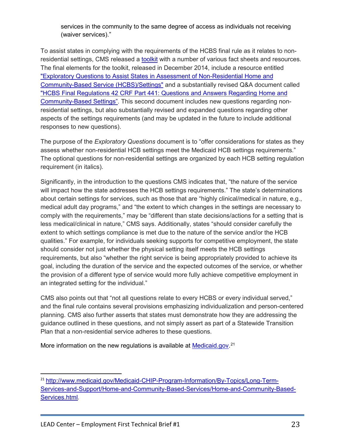services in the community to the same degree of access as individuals not receiving (waiver services)."

To assist states in complying with the requirements of the HCBS final rule as it relates to nonresidential settings, CMS released a [toolkit](http://www.medicaid.gov/Medicaid-CHIP-Program-Information/By-Topics/Long-Term-Services-and-Supports/Home-and-Community-Based-Services/Home-and-Community-Based-Services.html) with a number of various fact sheets and resources. The final elements for the toolkit, released in December 2014, include a resource entitled ["Exploratory Questions to Assist States in Assessment of Non-Residential Home and](http://www.medicaid.gov/medicaid-chip-program-information/by-topics/long-term-services-and-supports/home-and-community-based-services/downloads/exploratory-questions-non-residential.pdf)  [Community-Based Service \(HCBS\)/Settings"](http://www.medicaid.gov/medicaid-chip-program-information/by-topics/long-term-services-and-supports/home-and-community-based-services/downloads/exploratory-questions-non-residential.pdf) and a substantially revised Q&A document called ["HCBS Final Regulations 42 CRF Part 441: Questions and Answers Regarding Home and](http://www.medicaid.gov/medicaid-chip-program-information/by-topics/long-term-services-and-supports/home-and-community-based-services/downloads/q-and-a-hcb-settings.pdf)  [Community-Based](http://www.medicaid.gov/medicaid-chip-program-information/by-topics/long-term-services-and-supports/home-and-community-based-services/downloads/q-and-a-hcb-settings.pdf) Settings". This second document includes new questions regarding nonresidential settings, but also substantially revised and expanded questions regarding other aspects of the settings requirements (and may be updated in the future to include additional responses to new questions).

The purpose of the *Exploratory Questions* document is to "offer considerations for states as they assess whether non-residential HCB settings meet the Medicaid HCB settings requirements." The optional questions for non-residential settings are organized by each HCB setting regulation requirement (in italics).

Significantly, in the introduction to the questions CMS indicates that, "the nature of the service will impact how the state addresses the HCB settings requirements." The state's determinations about certain settings for services, such as those that are "highly clinical/medical in nature, e.g., medical adult day programs," and "the extent to which changes in the settings are necessary to comply with the requirements," may be "different than state decisions/actions for a setting that is less medical/clinical in nature," CMS says. Additionally, states "should consider carefully the extent to which settings compliance is met due to the nature of the service and/or the HCB qualities." For example, for individuals seeking supports for competitive employment, the state should consider not just whether the physical setting itself meets the HCB settings requirements, but also "whether the right service is being appropriately provided to achieve its goal, including the duration of the service and the expected outcomes of the service, or whether the provision of a different type of service would more fully achieve competitive employment in an integrated setting for the individual."

CMS also points out that "not all questions relate to every HCBS or every individual served," and the final rule contains several provisions emphasizing individualization and person-centered planning. CMS also further asserts that states must demonstrate how they are addressing the guidance outlined in these questions, and not simply assert as part of a Statewide Transition Plan that a non-residential service adheres to these questions.

More information on the new regulations is available at **Medicaid.gov.**<sup>[21](#page-22-0)</sup>

<span id="page-22-0"></span><sup>21</sup> [http://www.medicaid.gov/Medicaid-CHIP-Program-Information/By-Topics/Long-Term-](http://www.medicaid.gov/Medicaid-CHIP-Program-Information/By-Topics/Long-Term-Services-and-Support/Home-and-Community-Based-Services/Home-and-Community-Based-Services.html)[Services-and-Support/Home-and-Community-Based-Services/Home-and-Community-Based-](http://www.medicaid.gov/Medicaid-CHIP-Program-Information/By-Topics/Long-Term-Services-and-Support/Home-and-Community-Based-Services/Home-and-Community-Based-Services.html)[Services.html.](http://www.medicaid.gov/Medicaid-CHIP-Program-Information/By-Topics/Long-Term-Services-and-Support/Home-and-Community-Based-Services/Home-and-Community-Based-Services.html) l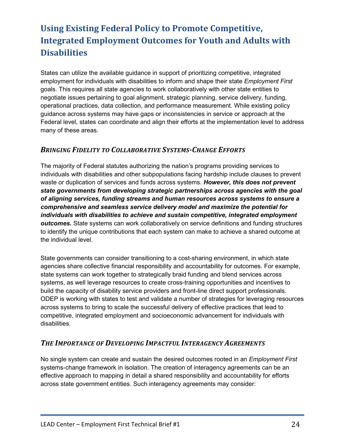## **Using Existing Federal Policy to Promote Competitive, Integrated Employment Outcomes for Youth and Adults with Disabilities**

States can utilize the available guidance in support of prioritizing competitive, integrated employment for individuals with disabilities to inform and shape their state *Employment First*  goals. This requires all state agencies to work collaboratively with other state entities to negotiate issues pertaining to goal alignment, strategic planning, service delivery, funding, operational practices, data collection, and performance measurement. While existing policy guidance across systems may have gaps or inconsistencies in service or approach at the Federal level, states can coordinate and align their efforts at the implementation level to address many of these areas.

#### *BRINGING FIDELITY TO COLLABORATIVE SYSTEMS-CHANGE EFFORTS*

The majority of Federal statutes authorizing the nation's programs providing services to individuals with disabilities and other subpopulations facing hardship include clauses to prevent waste or duplication of services and funds across systems. *However, this does not prevent state governments from developing strategic partnerships across agencies with the goal of aligning services, funding streams and human resources across systems to ensure a comprehensive and seamless service delivery model and maximize the potential for individuals with disabilities to achieve and sustain competitive, integrated employment outcomes.* State systems can work collaboratively on service definitions and funding structures to identify the unique contributions that each system can make to achieve a shared outcome at the individual level.

State governments can consider transitioning to a cost-sharing environment, in which state agencies share collective financial responsibility and accountability for outcomes. For example, state systems can work together to strategically braid funding and blend services across systems, as well leverage resources to create cross-training opportunities and incentives to build the capacity of disability service providers and front-line direct support professionals. ODEP is working with states to test and validate a number of strategies for leveraging resources across systems to bring to scale the successful delivery of effective practices that lead to competitive, integrated employment and socioeconomic advancement for individuals with disabilities.

#### *THE IMPORTANCE OF DEVELOPING IMPACTFUL INTERAGENCY AGREEMENTS*

No single system can create and sustain the desired outcomes rooted in an *Employment First*  systems-change framework in isolation. The creation of interagency agreements can be an effective approach to mapping in detail a shared responsibility and accountability for efforts across state government entities. Such interagency agreements may consider: